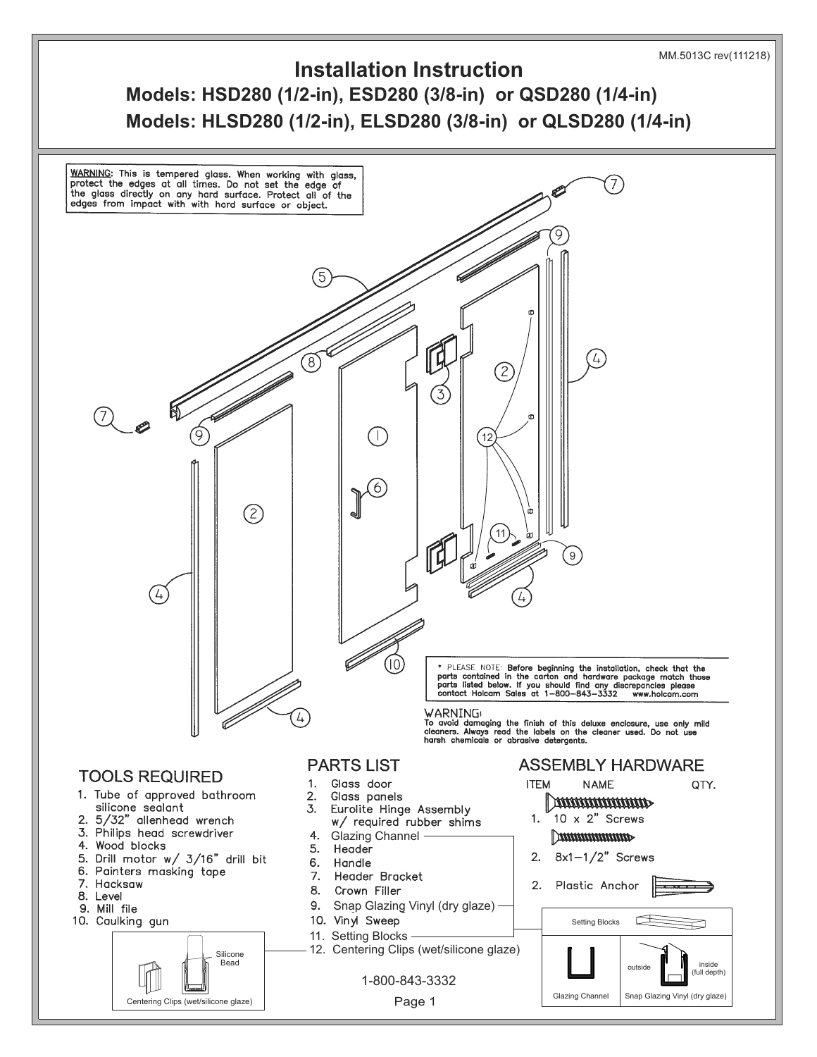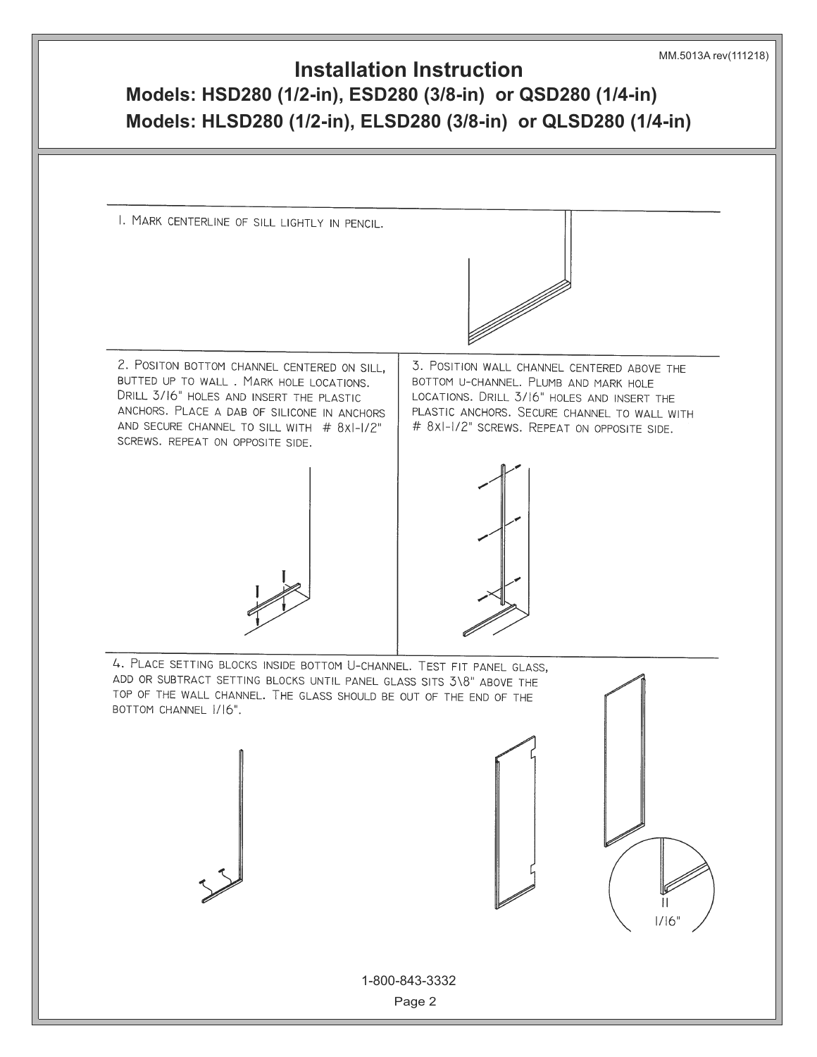## **Models: HSD280 (1/2-in), ESD280 (3/8-in) or QSD280 (1/4-in) Models: HLSD280 (1/2-in), ELSD280 (3/8-in) or QLSD280 (1/4-in) Installation Instruction** MM.5013A rev(111218)

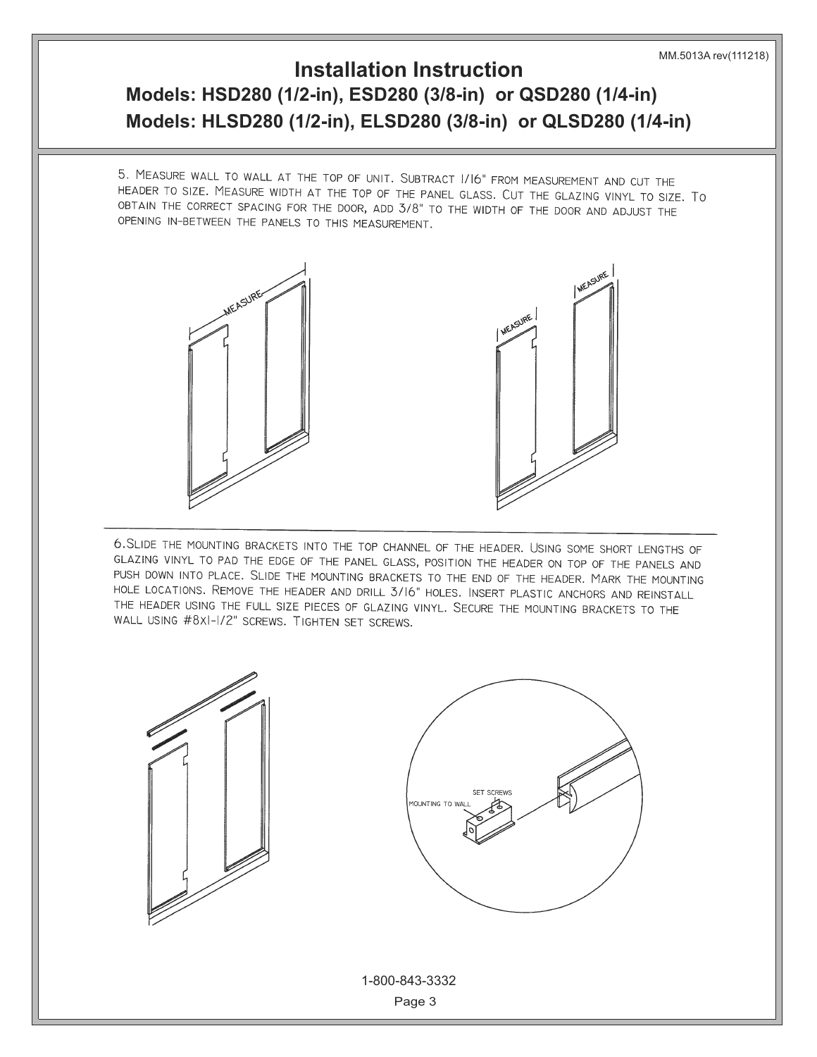## **Installation Instruction**

## **Models: HSD280 (1/2-in), ESD280 (3/8-in) or QSD280 (1/4-in) Models: HLSD280 (1/2-in), ELSD280 (3/8-in) or QLSD280 (1/4-in)**

5. MEASURE WALL TO WALL AT THE TOP OF UNIT. SUBTRACT 1/16" FROM MEASUREMENT AND CUT THE HEADER TO SIZE. MEASURE WIDTH AT THE TOP OF THE PANEL GLASS. CUT THE GLAZING VINYL TO SIZE. TO OBTAIN THE CORRECT SPACING WITH THE DOOR, ADD 3/8" TO THE WIDTH OF THE DOOR AND ADJUST THE OPENING IN-BETWEEN THE PANELS TO THIS MEASUREMENT.



6. SLIDE THE MOUNTING BRACKETS INTO THE TOP CHANNEL OF THE HEADER. USING SOME SHORT LENGTHS OF GLAZING VINYL TO PAD THE EDGE OF THE PANEL GLASS, POSITION THE HEADER ON TOP OF THE PANELS AND PUSH DOWN INTO PLACE. SLIDE THE MOUNTING BRACKETS TO THE END OF THE HEADER. MARK THE MOUNTING HOLE LOCATIONS. REMOVE THE HEADER AND DRILL 3/16" HOLES. INSERT PLASTIC ANCHORS AND REINSTALL THE HEADER USING THE FULL SIZE PIECES OF GLAZING VINYL. SECURE THE MOUNTING BRACKETS TO THE WALL USING #8XI-1/2" SCREWS. TIGHTEN SET SCREWS.

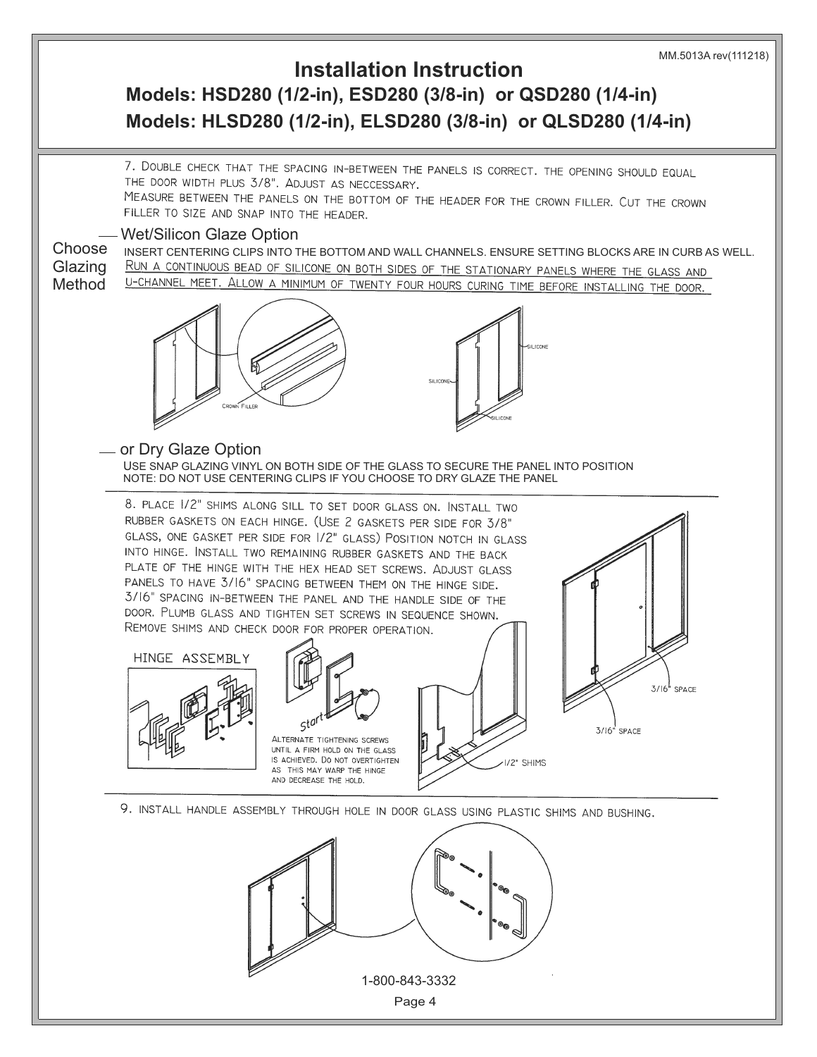